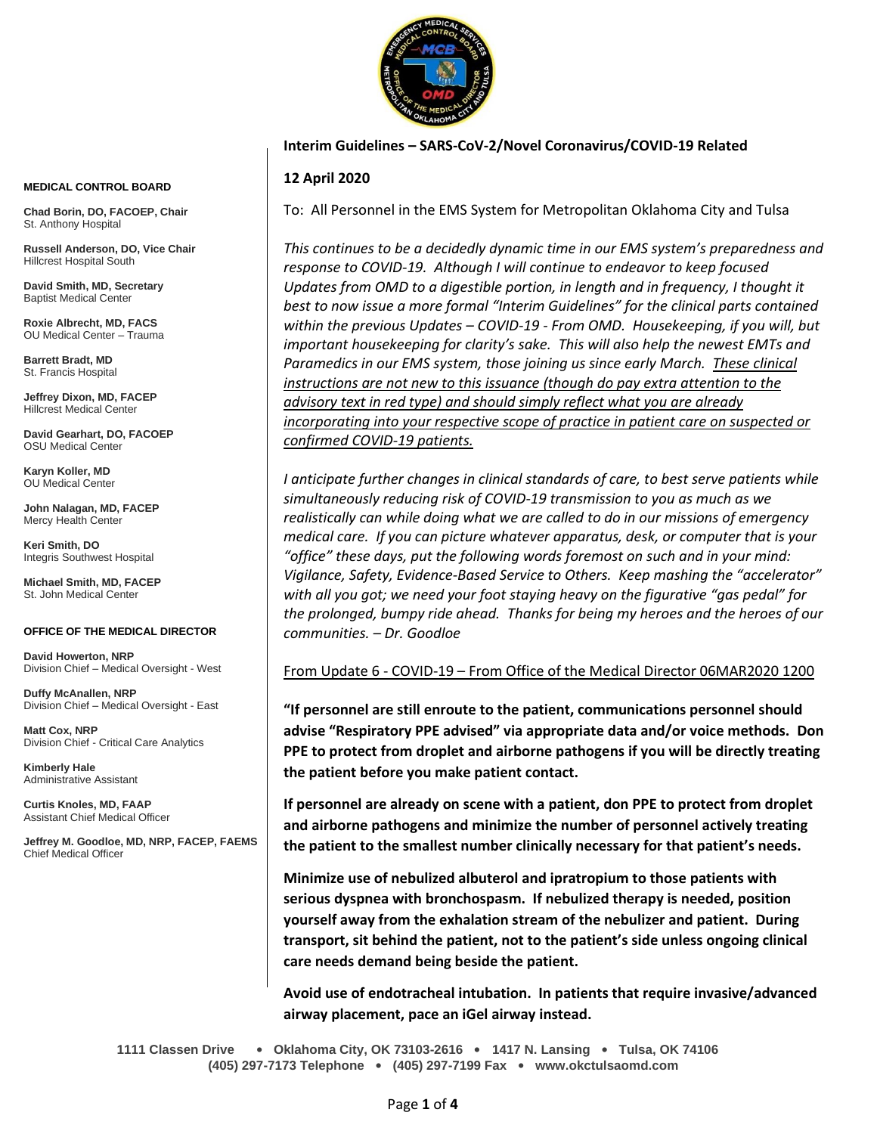

### **Interim Guidelines – SARS-CoV-2/Novel Coronavirus/COVID-19 Related**

# **12 April 2020**

To: All Personnel in the EMS System for Metropolitan Oklahoma City and Tulsa

*This continues to be a decidedly dynamic time in our EMS system's preparedness and response to COVID-19. Although I will continue to endeavor to keep focused Updates from OMD to a digestible portion, in length and in frequency, I thought it best to now issue a more formal "Interim Guidelines" for the clinical parts contained within the previous Updates – COVID-19 - From OMD. Housekeeping, if you will, but important housekeeping for clarity's sake. This will also help the newest EMTs and Paramedics in our EMS system, those joining us since early March. These clinical instructions are not new to this issuance (though do pay extra attention to the advisory text in red type) and should simply reflect what you are already incorporating into your respective scope of practice in patient care on suspected or confirmed COVID-19 patients.*

*I anticipate further changes in clinical standards of care, to best serve patients while simultaneously reducing risk of COVID-19 transmission to you as much as we realistically can while doing what we are called to do in our missions of emergency medical care. If you can picture whatever apparatus, desk, or computer that is your "office" these days, put the following words foremost on such and in your mind: Vigilance, Safety, Evidence-Based Service to Others. Keep mashing the "accelerator" with all you got; we need your foot staying heavy on the figurative "gas pedal" for the prolonged, bumpy ride ahead. Thanks for being my heroes and the heroes of our communities. – Dr. Goodloe*

From Update 6 - COVID-19 – From Office of the Medical Director 06MAR2020 1200

**"If personnel are still enroute to the patient, communications personnel should advise "Respiratory PPE advised" via appropriate data and/or voice methods. Don PPE to protect from droplet and airborne pathogens if you will be directly treating the patient before you make patient contact.**

**If personnel are already on scene with a patient, don PPE to protect from droplet and airborne pathogens and minimize the number of personnel actively treating the patient to the smallest number clinically necessary for that patient's needs.** 

**Minimize use of nebulized albuterol and ipratropium to those patients with serious dyspnea with bronchospasm. If nebulized therapy is needed, position yourself away from the exhalation stream of the nebulizer and patient. During transport, sit behind the patient, not to the patient's side unless ongoing clinical care needs demand being beside the patient.**

**Avoid use of endotracheal intubation. In patients that require invasive/advanced airway placement, pace an iGel airway instead.**

**1111 Classen Drive** • **Oklahoma City, OK 73103-2616** • **1417 N. Lansing** • **Tulsa, OK 74106 (405) 297-7173 Telephone** • **(405) 297-7199 Fax** • **www.okctulsaomd.com**

#### **MEDICAL CONTROL BOARD**

**Chad Borin, DO, FACOEP, Chair**  St. Anthony Hospital

**Russell Anderson, DO, Vice Chair** Hillcrest Hospital South

**David Smith, MD, Secretary** Baptist Medical Center

**Roxie Albrecht, MD, FACS** OU Medical Center – Trauma

**Barrett Bradt, MD** St. Francis Hospital

**Jeffrey Dixon, MD, FACEP** Hillcrest Medical Center

**David Gearhart, DO, FACOEP** OSU Medical Center

**Karyn Koller, MD** OU Medical Center

**John Nalagan, MD, FACEP** Mercy Health Center

**Keri Smith, DO** Integris Southwest Hospital

**Michael Smith, MD, FACEP** St. John Medical Center

#### **OFFICE OF THE MEDICAL DIRECTOR**

**David Howerton, NRP** Division Chief – Medical Oversight - West

**Duffy McAnallen, NRP** Division Chief – Medical Oversight - East

**Matt Cox, NRP** Division Chief - Critical Care Analytics

**Kimberly Hale** Administrative Assistant

**Curtis Knoles, MD, FAAP** Assistant Chief Medical Officer

**Jeffrey M. Goodloe, MD, NRP, FACEP, FAEMS** Chief Medical Officer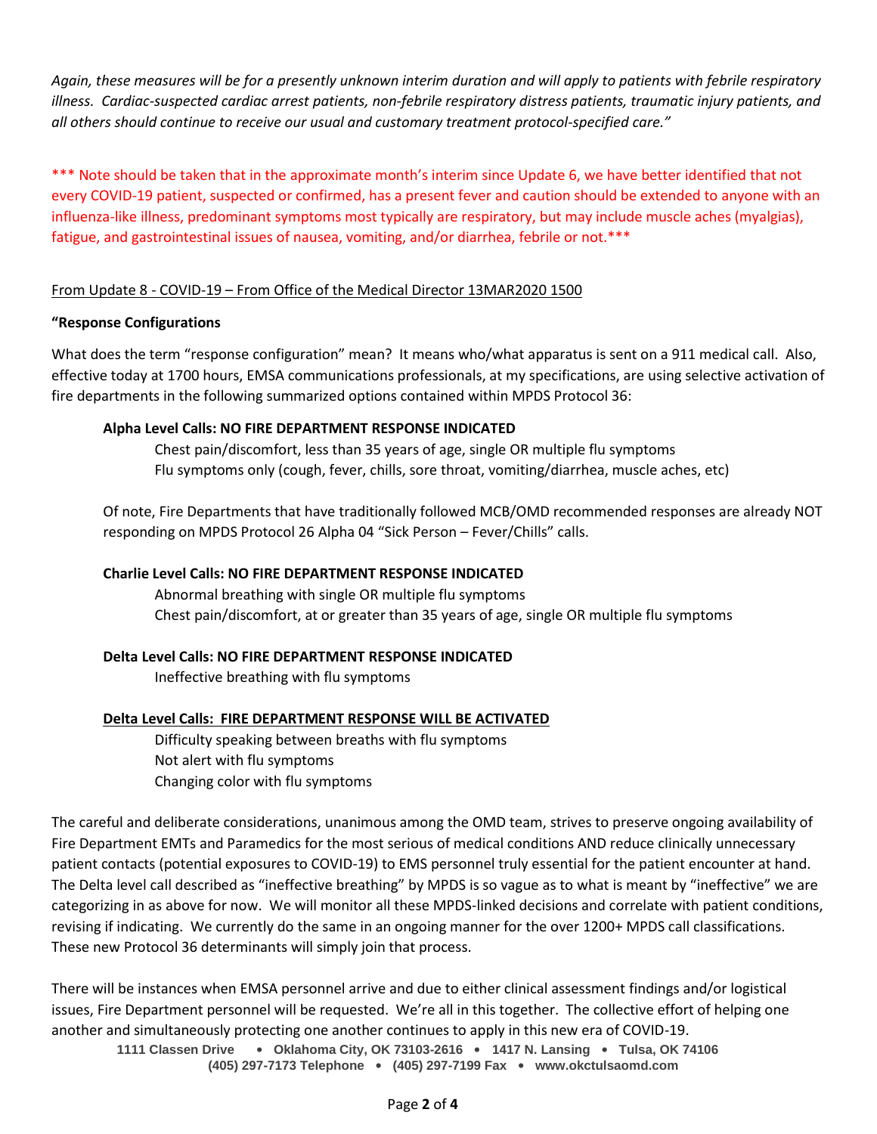*Again, these measures will be for a presently unknown interim duration and will apply to patients with febrile respiratory illness. Cardiac-suspected cardiac arrest patients, non-febrile respiratory distress patients, traumatic injury patients, and all others should continue to receive our usual and customary treatment protocol-specified care."*

\*\*\* Note should be taken that in the approximate month's interim since Update 6, we have better identified that not every COVID-19 patient, suspected or confirmed, has a present fever and caution should be extended to anyone with an influenza-like illness, predominant symptoms most typically are respiratory, but may include muscle aches (myalgias), fatigue, and gastrointestinal issues of nausea, vomiting, and/or diarrhea, febrile or not.\*\*\*

# From Update 8 - COVID-19 – From Office of the Medical Director 13MAR2020 1500

## **"Response Configurations**

What does the term "response configuration" mean? It means who/what apparatus is sent on a 911 medical call. Also, effective today at 1700 hours, EMSA communications professionals, at my specifications, are using selective activation of fire departments in the following summarized options contained within MPDS Protocol 36:

# **Alpha Level Calls: NO FIRE DEPARTMENT RESPONSE INDICATED**

Chest pain/discomfort, less than 35 years of age, single OR multiple flu symptoms Flu symptoms only (cough, fever, chills, sore throat, vomiting/diarrhea, muscle aches, etc)

Of note, Fire Departments that have traditionally followed MCB/OMD recommended responses are already NOT responding on MPDS Protocol 26 Alpha 04 "Sick Person – Fever/Chills" calls.

# **Charlie Level Calls: NO FIRE DEPARTMENT RESPONSE INDICATED**

Abnormal breathing with single OR multiple flu symptoms Chest pain/discomfort, at or greater than 35 years of age, single OR multiple flu symptoms

# **Delta Level Calls: NO FIRE DEPARTMENT RESPONSE INDICATED**

Ineffective breathing with flu symptoms

## **Delta Level Calls: FIRE DEPARTMENT RESPONSE WILL BE ACTIVATED**

Difficulty speaking between breaths with flu symptoms Not alert with flu symptoms Changing color with flu symptoms

The careful and deliberate considerations, unanimous among the OMD team, strives to preserve ongoing availability of Fire Department EMTs and Paramedics for the most serious of medical conditions AND reduce clinically unnecessary patient contacts (potential exposures to COVID-19) to EMS personnel truly essential for the patient encounter at hand. The Delta level call described as "ineffective breathing" by MPDS is so vague as to what is meant by "ineffective" we are categorizing in as above for now. We will monitor all these MPDS-linked decisions and correlate with patient conditions, revising if indicating. We currently do the same in an ongoing manner for the over 1200+ MPDS call classifications. These new Protocol 36 determinants will simply join that process.

There will be instances when EMSA personnel arrive and due to either clinical assessment findings and/or logistical issues, Fire Department personnel will be requested. We're all in this together. The collective effort of helping one another and simultaneously protecting one another continues to apply in this new era of COVID-19.

**1111 Classen Drive** • **Oklahoma City, OK 73103-2616** • **1417 N. Lansing** • **Tulsa, OK 74106 (405) 297-7173 Telephone** • **(405) 297-7199 Fax** • **www.okctulsaomd.com**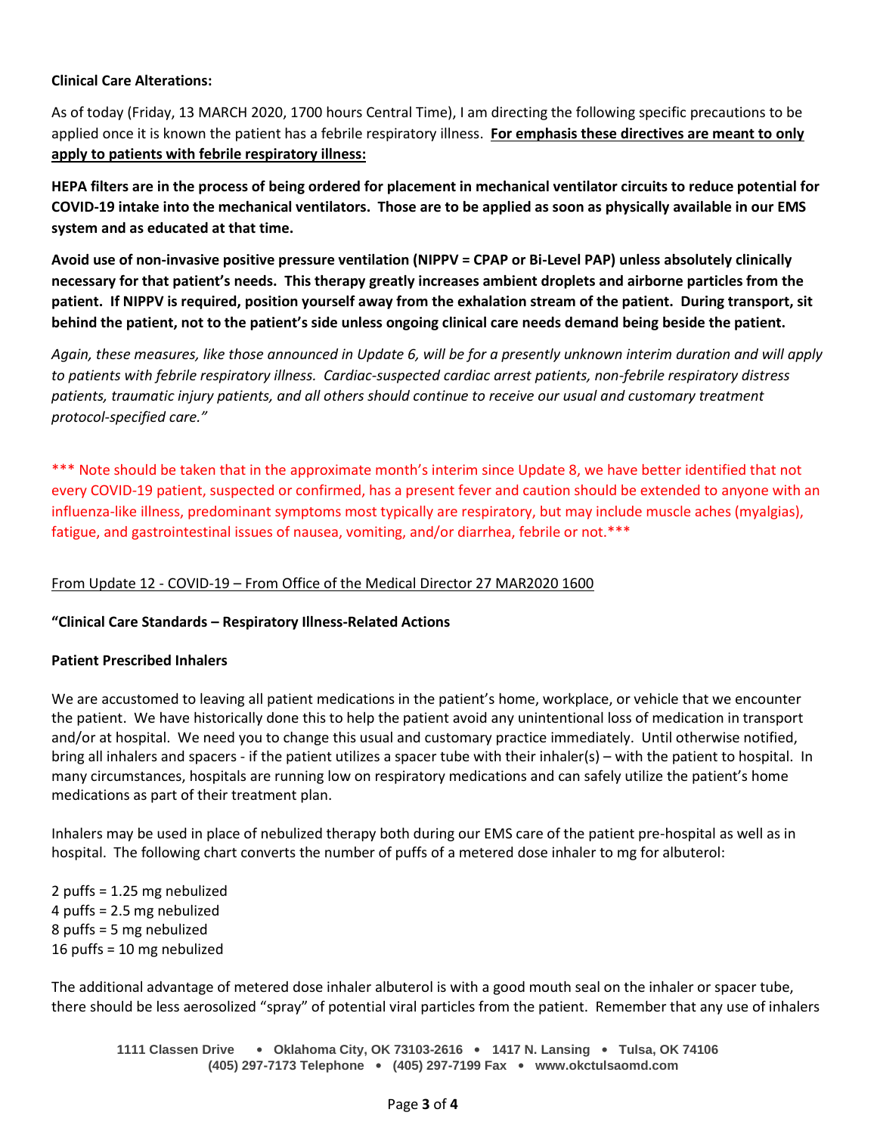## **Clinical Care Alterations:**

As of today (Friday, 13 MARCH 2020, 1700 hours Central Time), I am directing the following specific precautions to be applied once it is known the patient has a febrile respiratory illness. **For emphasis these directives are meant to only apply to patients with febrile respiratory illness:**

**HEPA filters are in the process of being ordered for placement in mechanical ventilator circuits to reduce potential for COVID-19 intake into the mechanical ventilators. Those are to be applied as soon as physically available in our EMS system and as educated at that time.**

**Avoid use of non-invasive positive pressure ventilation (NIPPV = CPAP or Bi-Level PAP) unless absolutely clinically necessary for that patient's needs. This therapy greatly increases ambient droplets and airborne particles from the patient. If NIPPV is required, position yourself away from the exhalation stream of the patient. During transport, sit behind the patient, not to the patient's side unless ongoing clinical care needs demand being beside the patient.**

*Again, these measures, like those announced in Update 6, will be for a presently unknown interim duration and will apply to patients with febrile respiratory illness. Cardiac-suspected cardiac arrest patients, non-febrile respiratory distress patients, traumatic injury patients, and all others should continue to receive our usual and customary treatment protocol-specified care."*

\*\*\* Note should be taken that in the approximate month's interim since Update 8, we have better identified that not every COVID-19 patient, suspected or confirmed, has a present fever and caution should be extended to anyone with an influenza-like illness, predominant symptoms most typically are respiratory, but may include muscle aches (myalgias), fatigue, and gastrointestinal issues of nausea, vomiting, and/or diarrhea, febrile or not.\*\*\*

## From Update 12 - COVID-19 – From Office of the Medical Director 27 MAR2020 1600

## **"Clinical Care Standards – Respiratory Illness-Related Actions**

## **Patient Prescribed Inhalers**

We are accustomed to leaving all patient medications in the patient's home, workplace, or vehicle that we encounter the patient. We have historically done this to help the patient avoid any unintentional loss of medication in transport and/or at hospital. We need you to change this usual and customary practice immediately. Until otherwise notified, bring all inhalers and spacers - if the patient utilizes a spacer tube with their inhaler(s) – with the patient to hospital. In many circumstances, hospitals are running low on respiratory medications and can safely utilize the patient's home medications as part of their treatment plan.

Inhalers may be used in place of nebulized therapy both during our EMS care of the patient pre-hospital as well as in hospital. The following chart converts the number of puffs of a metered dose inhaler to mg for albuterol:

2 puffs = 1.25 mg nebulized 4 puffs = 2.5 mg nebulized 8 puffs = 5 mg nebulized 16 puffs = 10 mg nebulized

The additional advantage of metered dose inhaler albuterol is with a good mouth seal on the inhaler or spacer tube, there should be less aerosolized "spray" of potential viral particles from the patient. Remember that any use of inhalers